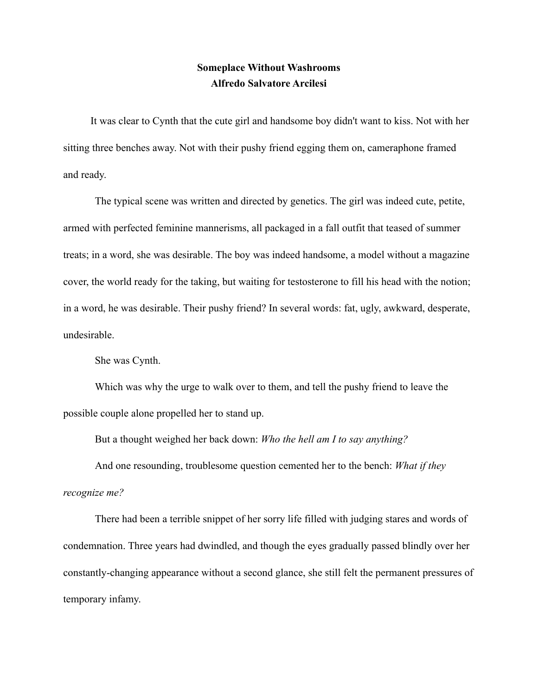## **Someplace Without Washrooms Alfredo Salvatore Arcilesi**

 It was clear to Cynth that the cute girl and handsome boy didn't want to kiss. Not with her sitting three benches away. Not with their pushy friend egging them on, cameraphone framed and ready.

The typical scene was written and directed by genetics. The girl was indeed cute, petite, armed with perfected feminine mannerisms, all packaged in a fall outfit that teased of summer treats; in a word, she was desirable. The boy was indeed handsome, a model without a magazine cover, the world ready for the taking, but waiting for testosterone to fill his head with the notion; in a word, he was desirable. Their pushy friend? In several words: fat, ugly, awkward, desperate, undesirable.

She was Cynth.

Which was why the urge to walk over to them, and tell the pushy friend to leave the possible couple alone propelled her to stand up.

But a thought weighed her back down: *Who the hell am I to say anything?* 

And one resounding, troublesome question cemented her to the bench: *What if they recognize me?* 

There had been a terrible snippet of her sorry life filled with judging stares and words of condemnation. Three years had dwindled, and though the eyes gradually passed blindly over her constantly-changing appearance without a second glance, she still felt the permanent pressures of temporary infamy.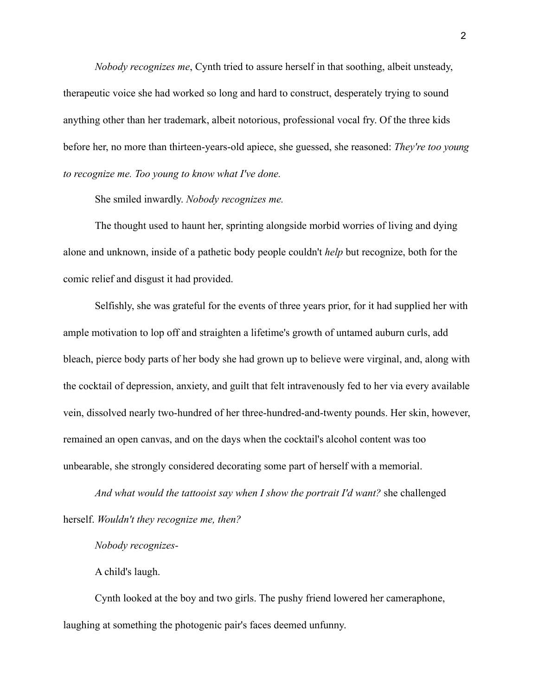*Nobody recognizes me*, Cynth tried to assure herself in that soothing, albeit unsteady, therapeutic voice she had worked so long and hard to construct, desperately trying to sound anything other than her trademark, albeit notorious, professional vocal fry. Of the three kids before her, no more than thirteen-years-old apiece, she guessed, she reasoned: *They're too young to recognize me. Too young to know what I've done.* 

She smiled inwardly. *Nobody recognizes me.* 

The thought used to haunt her, sprinting alongside morbid worries of living and dying alone and unknown, inside of a pathetic body people couldn't *help* but recognize, both for the comic relief and disgust it had provided.

Selfishly, she was grateful for the events of three years prior, for it had supplied her with ample motivation to lop off and straighten a lifetime's growth of untamed auburn curls, add bleach, pierce body parts of her body she had grown up to believe were virginal, and, along with the cocktail of depression, anxiety, and guilt that felt intravenously fed to her via every available vein, dissolved nearly two-hundred of her three-hundred-and-twenty pounds. Her skin, however, remained an open canvas, and on the days when the cocktail's alcohol content was too unbearable, she strongly considered decorating some part of herself with a memorial.

*And what would the tattooist say when I show the portrait I'd want?* she challenged herself. *Wouldn't they recognize me, then?* 

*Nobody recognizes-*

A child's laugh.

Cynth looked at the boy and two girls. The pushy friend lowered her cameraphone, laughing at something the photogenic pair's faces deemed unfunny.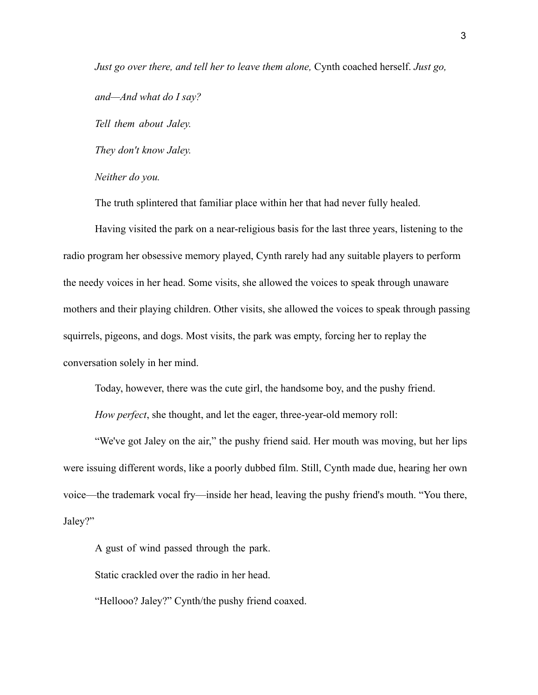*Just go over there, and tell her to leave them alone, Cynth coached herself. Just go, and—And what do I say? Tell them about Jaley. They don't know Jaley. Neither do you.* 

The truth splintered that familiar place within her that had never fully healed.

Having visited the park on a near-religious basis for the last three years, listening to the radio program her obsessive memory played, Cynth rarely had any suitable players to perform the needy voices in her head. Some visits, she allowed the voices to speak through unaware mothers and their playing children. Other visits, she allowed the voices to speak through passing squirrels, pigeons, and dogs. Most visits, the park was empty, forcing her to replay the conversation solely in her mind.

Today, however, there was the cute girl, the handsome boy, and the pushy friend.

*How perfect*, she thought, and let the eager, three-year-old memory roll:

"We've got Jaley on the air," the pushy friend said. Her mouth was moving, but her lips were issuing different words, like a poorly dubbed film. Still, Cynth made due, hearing her own voice—the trademark vocal fry—inside her head, leaving the pushy friend's mouth. "You there, Jaley?"

A gust of wind passed through the park.

Static crackled over the radio in her head.

"Hellooo? Jaley?" Cynth/the pushy friend coaxed.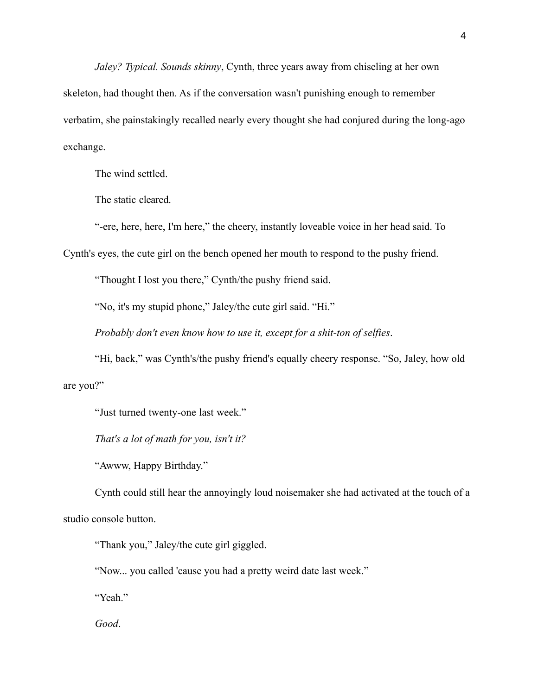*Jaley? Typical. Sounds skinny*, Cynth, three years away from chiseling at her own skeleton, had thought then. As if the conversation wasn't punishing enough to remember verbatim, she painstakingly recalled nearly every thought she had conjured during the long-ago exchange.

The wind settled.

The static cleared.

"-ere, here, here, I'm here," the cheery, instantly loveable voice in her head said. To

Cynth's eyes, the cute girl on the bench opened her mouth to respond to the pushy friend.

"Thought I lost you there," Cynth/the pushy friend said.

"No, it's my stupid phone," Jaley/the cute girl said. "Hi."

*Probably don't even know how to use it, except for a shit-ton of selfies*.

"Hi, back," was Cynth's/the pushy friend's equally cheery response. "So, Jaley, how old are you?"

"Just turned twenty-one last week."

*That's a lot of math for you, isn't it?* 

"Awww, Happy Birthday."

Cynth could still hear the annoyingly loud noisemaker she had activated at the touch of a studio console button.

"Thank you," Jaley/the cute girl giggled.

"Now... you called 'cause you had a pretty weird date last week."

"Yeah."

*Good*.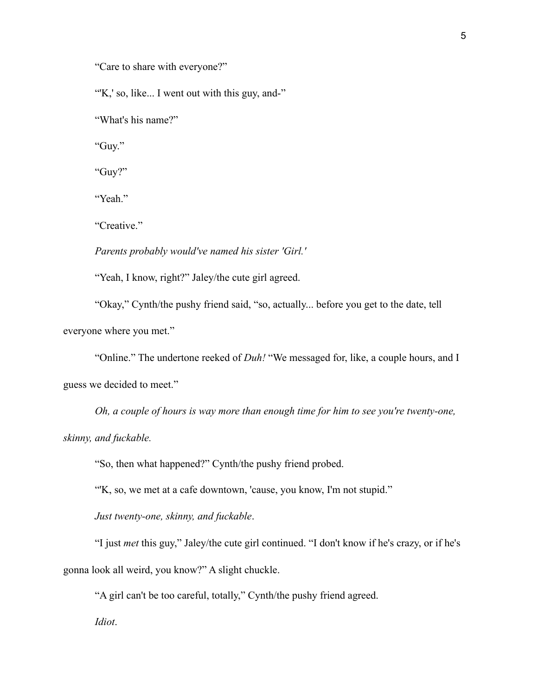"Care to share with everyone?"

"K,' so, like... I went out with this guy, and-"

"What's his name?"

"Guy."

"Guy?"

"Yeah."

"Creative."

*Parents probably would've named his sister 'Girl.'* 

"Yeah, I know, right?" Jaley/the cute girl agreed.

"Okay," Cynth/the pushy friend said, "so, actually... before you get to the date, tell everyone where you met."

"Online." The undertone reeked of *Duh!* "We messaged for, like, a couple hours, and I guess we decided to meet."

*Oh, a couple of hours is way more than enough time for him to see you're twenty-one, skinny, and fuckable.* 

"So, then what happened?" Cynth/the pushy friend probed.

"'K, so, we met at a cafe downtown, 'cause, you know, I'm not stupid."

*Just twenty-one, skinny, and fuckable*.

"I just *met* this guy," Jaley/the cute girl continued. "I don't know if he's crazy, or if he's gonna look all weird, you know?" A slight chuckle.

"A girl can't be too careful, totally," Cynth/the pushy friend agreed.

*Idiot*.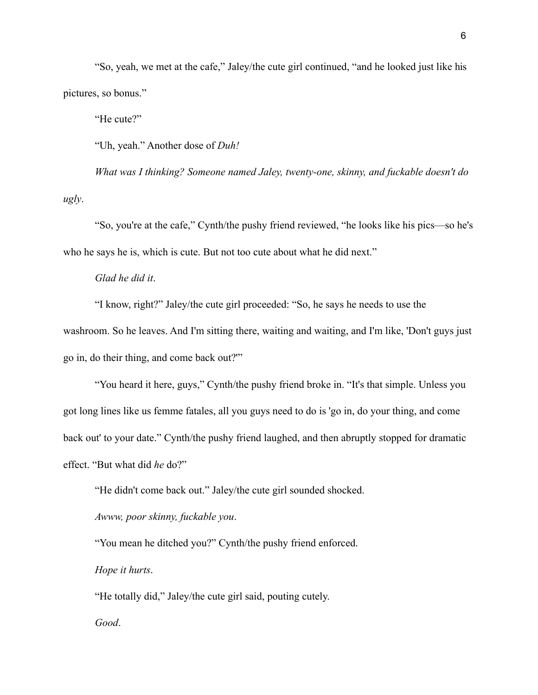"So, yeah, we met at the cafe," Jaley/the cute girl continued, "and he looked just like his pictures, so bonus."

"He cute?"

"Uh, yeah." Another dose of *Duh!* 

*What was I thinking? Someone named Jaley, twenty-one, skinny, and fuckable doesn't do ugly*.

"So, you're at the cafe," Cynth/the pushy friend reviewed, "he looks like his pics—so he's who he says he is, which is cute. But not too cute about what he did next."

## *Glad he did it*.

"I know, right?" Jaley/the cute girl proceeded: "So, he says he needs to use the washroom. So he leaves. And I'm sitting there, waiting and waiting, and I'm like, 'Don't guys just go in, do their thing, and come back out?'"

"You heard it here, guys," Cynth/the pushy friend broke in. "It's that simple. Unless you got long lines like us femme fatales, all you guys need to do is 'go in, do your thing, and come back out' to your date." Cynth/the pushy friend laughed, and then abruptly stopped for dramatic effect. "But what did *he* do?"

"He didn't come back out." Jaley/the cute girl sounded shocked.

*Awww, poor skinny, fuckable you*.

"You mean he ditched you?" Cynth/the pushy friend enforced.

*Hope it hurts*.

"He totally did," Jaley/the cute girl said, pouting cutely.

*Good*.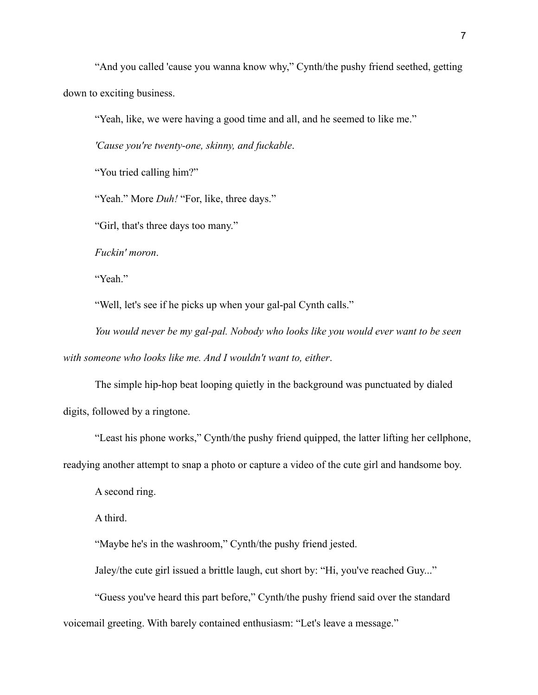"And you called 'cause you wanna know why," Cynth/the pushy friend seethed, getting down to exciting business.

"Yeah, like, we were having a good time and all, and he seemed to like me."

*'Cause you're twenty-one, skinny, and fuckable*.

"You tried calling him?"

"Yeah." More *Duh!* "For, like, three days."

"Girl, that's three days too many."

*Fuckin' moron*.

"Yeah."

"Well, let's see if he picks up when your gal-pal Cynth calls."

*You would never be my gal-pal. Nobody who looks like you would ever want to be seen with someone who looks like me. And I wouldn't want to, either*.

The simple hip-hop beat looping quietly in the background was punctuated by dialed digits, followed by a ringtone.

"Least his phone works," Cynth/the pushy friend quipped, the latter lifting her cellphone, readying another attempt to snap a photo or capture a video of the cute girl and handsome boy.

A second ring.

A third.

"Maybe he's in the washroom," Cynth/the pushy friend jested.

Jaley/the cute girl issued a brittle laugh, cut short by: "Hi, you've reached Guy..."

"Guess you've heard this part before," Cynth/the pushy friend said over the standard voicemail greeting. With barely contained enthusiasm: "Let's leave a message."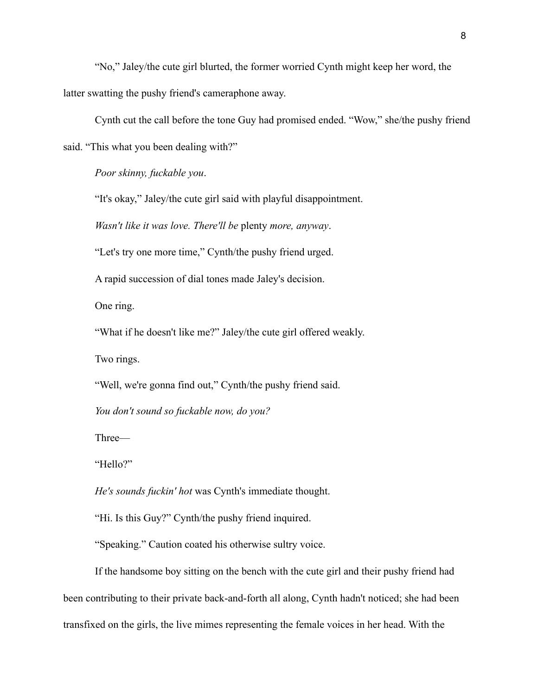"No," Jaley/the cute girl blurted, the former worried Cynth might keep her word, the latter swatting the pushy friend's cameraphone away.

Cynth cut the call before the tone Guy had promised ended. "Wow," she/the pushy friend said. "This what you been dealing with?"

*Poor skinny, fuckable you*.

"It's okay," Jaley/the cute girl said with playful disappointment.

*Wasn't like it was love. There'll be* plenty *more, anyway*.

"Let's try one more time," Cynth/the pushy friend urged.

A rapid succession of dial tones made Jaley's decision.

One ring.

"What if he doesn't like me?" Jaley/the cute girl offered weakly.

Two rings.

"Well, we're gonna find out," Cynth/the pushy friend said.

*You don't sound so fuckable now, do you?* 

Three—

"Hello?"

*He's sounds fuckin' hot* was Cynth's immediate thought.

"Hi. Is this Guy?" Cynth/the pushy friend inquired.

"Speaking." Caution coated his otherwise sultry voice.

If the handsome boy sitting on the bench with the cute girl and their pushy friend had been contributing to their private back-and-forth all along, Cynth hadn't noticed; she had been transfixed on the girls, the live mimes representing the female voices in her head. With the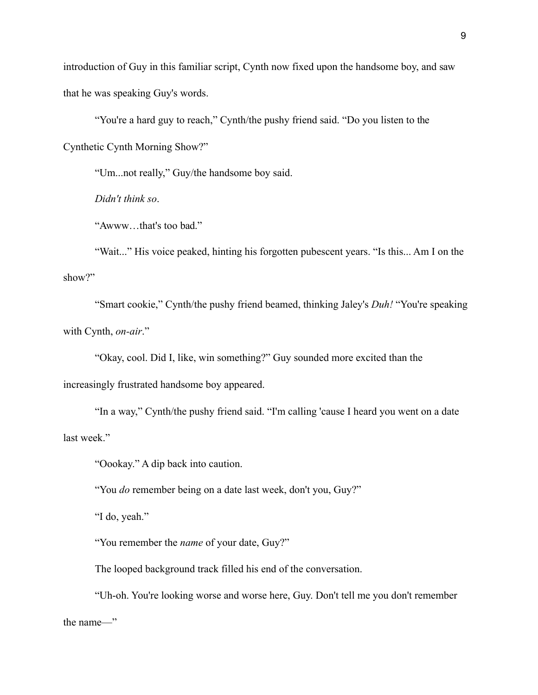introduction of Guy in this familiar script, Cynth now fixed upon the handsome boy, and saw that he was speaking Guy's words.

"You're a hard guy to reach," Cynth/the pushy friend said. "Do you listen to the Cynthetic Cynth Morning Show?"

"Um...not really," Guy/the handsome boy said.

*Didn't think so*.

"Awww…that's too bad."

"Wait..." His voice peaked, hinting his forgotten pubescent years. "Is this... Am I on the show?"

"Smart cookie," Cynth/the pushy friend beamed, thinking Jaley's *Duh!* "You're speaking with Cynth, *on-air*."

"Okay, cool. Did I, like, win something?" Guy sounded more excited than the

increasingly frustrated handsome boy appeared.

"In a way," Cynth/the pushy friend said. "I'm calling 'cause I heard you went on a date last week."

"Oookay." A dip back into caution.

"You *do* remember being on a date last week, don't you, Guy?"

"I do, yeah."

"You remember the *name* of your date, Guy?"

The looped background track filled his end of the conversation.

"Uh-oh. You're looking worse and worse here, Guy. Don't tell me you don't remember the name—"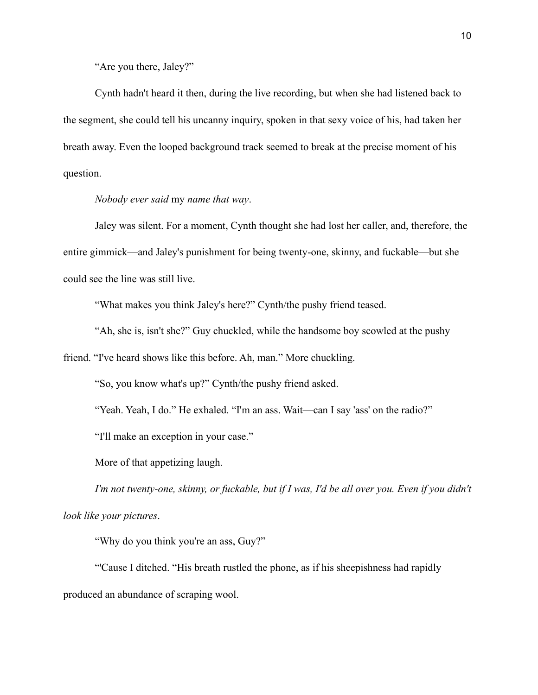"Are you there, Jaley?"

Cynth hadn't heard it then, during the live recording, but when she had listened back to the segment, she could tell his uncanny inquiry, spoken in that sexy voice of his, had taken her breath away. Even the looped background track seemed to break at the precise moment of his question.

## *Nobody ever said* my *name that way*.

Jaley was silent. For a moment, Cynth thought she had lost her caller, and, therefore, the entire gimmick—and Jaley's punishment for being twenty-one, skinny, and fuckable—but she could see the line was still live.

"What makes you think Jaley's here?" Cynth/the pushy friend teased.

"Ah, she is, isn't she?" Guy chuckled, while the handsome boy scowled at the pushy

friend. "I've heard shows like this before. Ah, man." More chuckling.

"So, you know what's up?" Cynth/the pushy friend asked.

"Yeah. Yeah, I do." He exhaled. "I'm an ass. Wait—can I say 'ass' on the radio?"

"I'll make an exception in your case."

More of that appetizing laugh.

*I'm not twenty-one, skinny, or fuckable, but if I was, I'd be all over you. Even if you didn't look like your pictures*.

"Why do you think you're an ass, Guy?"

"'Cause I ditched. "His breath rustled the phone, as if his sheepishness had rapidly produced an abundance of scraping wool.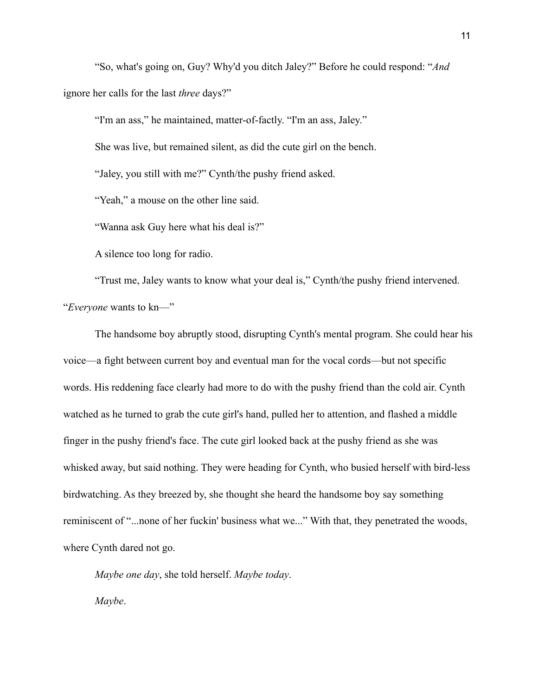"So, what's going on, Guy? Why'd you ditch Jaley?" Before he could respond: "*And*  ignore her calls for the last *three* days?"

"I'm an ass," he maintained, matter-of-factly. "I'm an ass, Jaley."

She was live, but remained silent, as did the cute girl on the bench.

"Jaley, you still with me?" Cynth/the pushy friend asked.

"Yeah," a mouse on the other line said.

"Wanna ask Guy here what his deal is?"

A silence too long for radio.

"Trust me, Jaley wants to know what your deal is," Cynth/the pushy friend intervened. "*Everyone* wants to kn—"

The handsome boy abruptly stood, disrupting Cynth's mental program. She could hear his voice—a fight between current boy and eventual man for the vocal cords—but not specific words. His reddening face clearly had more to do with the pushy friend than the cold air. Cynth watched as he turned to grab the cute girl's hand, pulled her to attention, and flashed a middle finger in the pushy friend's face. The cute girl looked back at the pushy friend as she was whisked away, but said nothing. They were heading for Cynth, who busied herself with bird-less birdwatching. As they breezed by, she thought she heard the handsome boy say something reminiscent of "...none of her fuckin' business what we..." With that, they penetrated the woods, where Cynth dared not go.

*Maybe one day*, she told herself. *Maybe today*.

*Maybe*.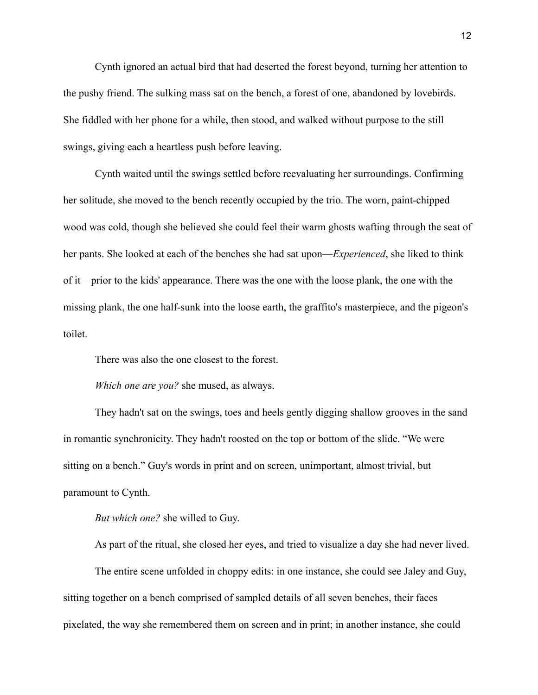Cynth ignored an actual bird that had deserted the forest beyond, turning her attention to the pushy friend. The sulking mass sat on the bench, a forest of one, abandoned by lovebirds. She fiddled with her phone for a while, then stood, and walked without purpose to the still swings, giving each a heartless push before leaving.

Cynth waited until the swings settled before reevaluating her surroundings. Confirming her solitude, she moved to the bench recently occupied by the trio. The worn, paint-chipped wood was cold, though she believed she could feel their warm ghosts wafting through the seat of her pants. She looked at each of the benches she had sat upon—*Experienced*, she liked to think of it—prior to the kids' appearance. There was the one with the loose plank, the one with the missing plank, the one half-sunk into the loose earth, the graffito's masterpiece, and the pigeon's toilet.

There was also the one closest to the forest.

*Which one are you?* she mused, as always.

They hadn't sat on the swings, toes and heels gently digging shallow grooves in the sand in romantic synchronicity. They hadn't roosted on the top or bottom of the slide. "We were sitting on a bench." Guy's words in print and on screen, unimportant, almost trivial, but paramount to Cynth.

*But which one?* she willed to Guy.

As part of the ritual, she closed her eyes, and tried to visualize a day she had never lived.

The entire scene unfolded in choppy edits: in one instance, she could see Jaley and Guy, sitting together on a bench comprised of sampled details of all seven benches, their faces pixelated, the way she remembered them on screen and in print; in another instance, she could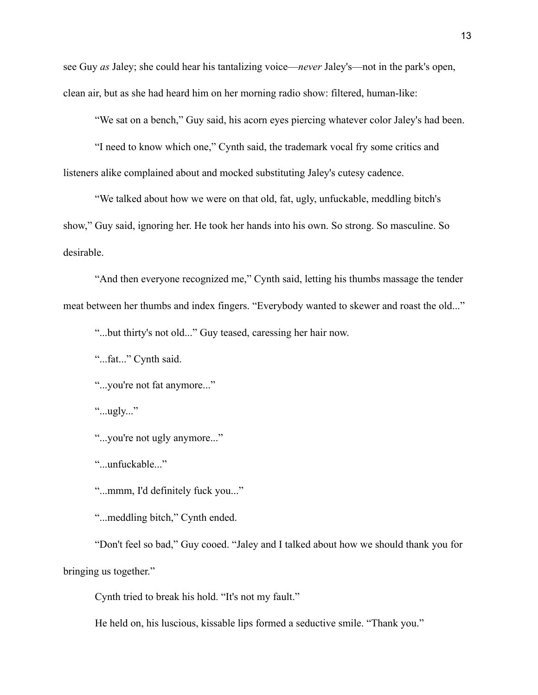see Guy *as* Jaley; she could hear his tantalizing voice—*never* Jaley's—not in the park's open, clean air, but as she had heard him on her morning radio show: filtered, human-like:

"We sat on a bench," Guy said, his acorn eyes piercing whatever color Jaley's had been.

"I need to know which one," Cynth said, the trademark vocal fry some critics and listeners alike complained about and mocked substituting Jaley's cutesy cadence.

"We talked about how we were on that old, fat, ugly, unfuckable, meddling bitch's show," Guy said, ignoring her. He took her hands into his own. So strong. So masculine. So desirable.

"And then everyone recognized me," Cynth said, letting his thumbs massage the tender meat between her thumbs and index fingers. "Everybody wanted to skewer and roast the old..."

"...but thirty's not old..." Guy teased, caressing her hair now.

"...fat..." Cynth said.

"...you're not fat anymore..."

"... $ugly...$ "

"...you're not ugly anymore..."

"...unfuckable..."

"...mmm, I'd definitely fuck you..."

"...meddling bitch," Cynth ended.

"Don't feel so bad," Guy cooed. "Jaley and I talked about how we should thank you for bringing us together."

Cynth tried to break his hold. "It's not my fault."

He held on, his luscious, kissable lips formed a seductive smile. "Thank you."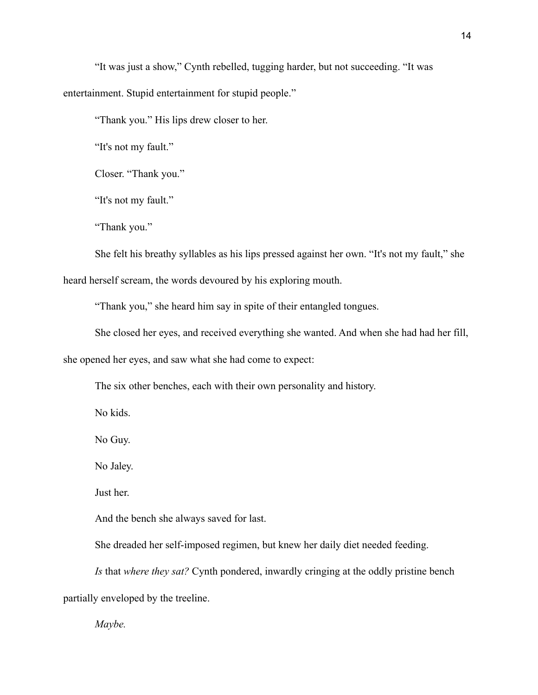"It was just a show," Cynth rebelled, tugging harder, but not succeeding. "It was entertainment. Stupid entertainment for stupid people."

"Thank you." His lips drew closer to her.

"It's not my fault."

Closer. "Thank you."

"It's not my fault."

"Thank you."

She felt his breathy syllables as his lips pressed against her own. "It's not my fault," she heard herself scream, the words devoured by his exploring mouth.

"Thank you," she heard him say in spite of their entangled tongues.

She closed her eyes, and received everything she wanted. And when she had had her fill,

she opened her eyes, and saw what she had come to expect:

The six other benches, each with their own personality and history.

No kids.

No Guy.

No Jaley.

Just her.

And the bench she always saved for last.

She dreaded her self-imposed regimen, but knew her daily diet needed feeding.

*Is* that *where they sat?* Cynth pondered, inwardly cringing at the oddly pristine bench

partially enveloped by the treeline.

*Maybe.*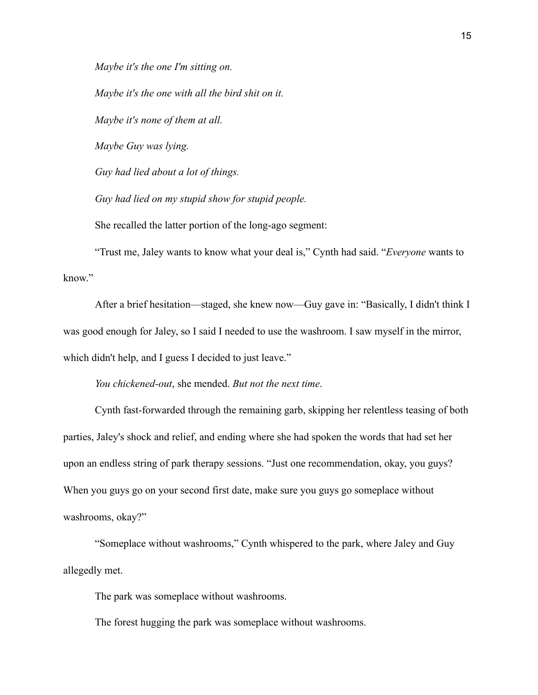*Maybe it's the one I'm sitting on.* 

*Maybe it's the one with all the bird shit on it. Maybe it's none of them at all. Maybe Guy was lying. Guy had lied about a lot of things. Guy had lied on my stupid show for stupid people.* 

She recalled the latter portion of the long-ago segment:

"Trust me, Jaley wants to know what your deal is," Cynth had said. "*Everyone* wants to know"

After a brief hesitation—staged, she knew now—Guy gave in: "Basically, I didn't think I was good enough for Jaley, so I said I needed to use the washroom. I saw myself in the mirror, which didn't help, and I guess I decided to just leave."

*You chickened-out*, she mended. *But not the next time*.

Cynth fast-forwarded through the remaining garb, skipping her relentless teasing of both parties, Jaley's shock and relief, and ending where she had spoken the words that had set her upon an endless string of park therapy sessions. "Just one recommendation, okay, you guys? When you guys go on your second first date, make sure you guys go someplace without washrooms, okay?"

"Someplace without washrooms," Cynth whispered to the park, where Jaley and Guy allegedly met.

The park was someplace without washrooms.

The forest hugging the park was someplace without washrooms.